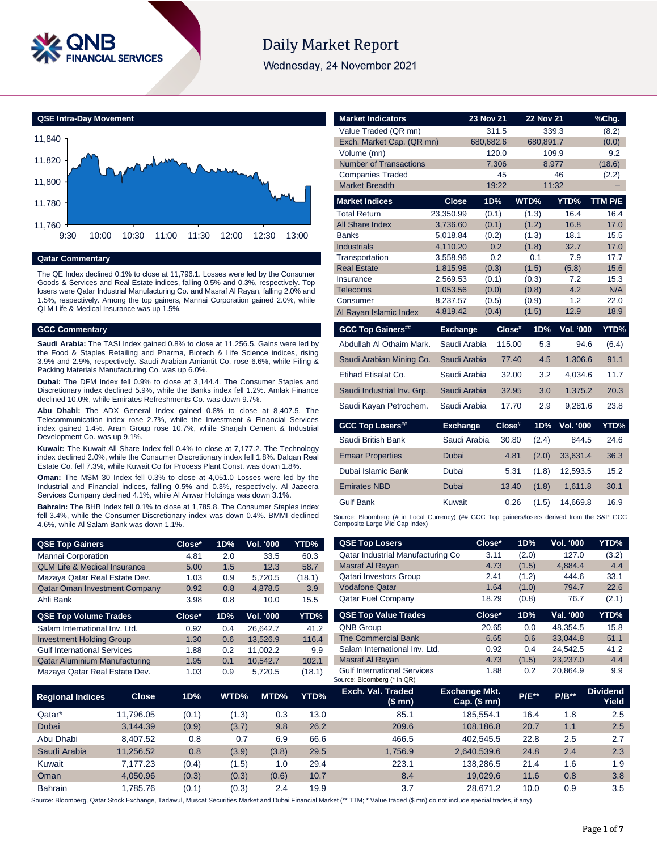

# **Daily Market Report**

Wednesday, 24 November 2021



### **Qatar Commentary**

The QE Index declined 0.1% to close at 11,796.1. Losses were led by the Consumer Goods & Services and Real Estate indices, falling 0.5% and 0.3%, respectively. Top losers were Qatar Industrial Manufacturing Co. and Masraf Al Rayan, falling 2.0% and 1.5%, respectively. Among the top gainers, Mannai Corporation gained 2.0%, while QLM Life & Medical Insurance was up 1.5%.

#### **GCC Commentary**

**Saudi Arabia:** The TASI Index gained 0.8% to close at 11,256.5. Gains were led by the Food & Staples Retailing and Pharma, Biotech & Life Science indices, rising 3.9% and 2.9%, respectively. Saudi Arabian Amiantit Co. rose 6.6%, while Filing & Packing Materials Manufacturing Co. was up 6.0%.

**Dubai:** The DFM Index fell 0.9% to close at 3,144.4. The Consumer Staples and Discretionary index declined 5.9%, while the Banks index fell 1.2%. Amlak Finance declined 10.0%, while Emirates Refreshments Co. was down 9.7%.

**Abu Dhabi:** The ADX General Index gained 0.8% to close at 8,407.5. The Telecommunication index rose 2.7%, while the Investment & Financial Services index gained 1.4%. Aram Group rose 10.7%, while Sharjah Cement & Industrial Development Co. was up 9.1%.

**Kuwait:** The Kuwait All Share Index fell 0.4% to close at 7,177.2. The Technology index declined 2.0%, while the Consumer Discretionary index fell 1.8%. Dalqan Real Estate Co. fell 7.3%, while Kuwait Co for Process Plant Const. was down 1.8%.

**Oman:** The MSM 30 Index fell 0.3% to close at 4,051.0 Losses were led by the Industrial and Financial indices, falling 0.5% and 0.3%, respectively. Al Jazeera Services Company declined 4.1%, while Al Anwar Holdings was down 3.1%.

**Bahrain:** The BHB Index fell 0.1% to close at 1,785.8. The Consumer Staples index fell 3.4%, while the Consumer Discretionary index was down 0.4%. BMMI declined 4.6%, while Al Salam Bank was down 1.1%.

| <b>QSE Top Gainers</b>                  | Close* | 1D% | <b>Vol. '000</b> | YTD%   |
|-----------------------------------------|--------|-----|------------------|--------|
| Mannai Corporation                      | 4.81   | 2.0 | 33.5             | 60.3   |
| <b>QLM Life &amp; Medical Insurance</b> | 5.00   | 1.5 | 12.3             | 58.7   |
| Mazaya Qatar Real Estate Dev.           | 1.03   | 0.9 | 5,720.5          | (18.1) |
| <b>Qatar Oman Investment Company</b>    | 0.92   | 0.8 | 4.878.5          | 3.9    |
| Ahli Bank                               | 3.98   | 0.8 | 10.0             | 15.5   |
| <b>QSE Top Volume Trades</b>            | Close* | 1D% | Vol. '000        | YTD%   |
| Salam International Inv. Ltd.           | 0.92   | 0.4 | 26.642.7         | 41.2   |
| <b>Investment Holding Group</b>         | 1.30   | 0.6 | 13,526.9         | 116.4  |
| <b>Gulf International Services</b>      | 1.88   | 0.2 | 11.002.2         | 9.9    |
| <b>Qatar Aluminium Manufacturing</b>    | 1.95   | 0.1 | 10.542.7         | 102.1  |

Mazaya Qatar Real Estate Dev. 1.03 0.9 5,720.5

| <b>Market Indicators</b>                         |                      | 23 Nov 21   | <b>22 Nov 21</b> |                  | %Chg.        |
|--------------------------------------------------|----------------------|-------------|------------------|------------------|--------------|
| Value Traded (QR mn)                             |                      | 311.5       | 339.3            |                  | (8.2)        |
| Exch. Market Cap. (QR mn)                        |                      | 680,682.6   | 680,891.7        |                  | (0.0)        |
| Volume (mn)                                      |                      | 120.0       | 109.9            |                  | 9.2          |
| <b>Number of Transactions</b>                    |                      | 7,306       | 8,977            |                  | (18.6)       |
| <b>Companies Traded</b><br><b>Market Breadth</b> |                      | 45<br>19:22 | 11:32            | 46               | (2.2)        |
|                                                  |                      |             |                  |                  |              |
| <b>Market Indices</b>                            | <b>Close</b>         | 1D%         | WTD%             | YTD%             | TTM P/E      |
| <b>Total Return</b>                              | 23,350.99            | (0.1)       | (1.3)            | 16.4             | 16.4         |
| All Share Index                                  | 3,736.60             | (0.1)       | (1.2)            | 16.8             | 17.0         |
| <b>Banks</b>                                     | 5,018.84             | (0.2)       | (1.3)            | 18.1             | 15.5         |
| <b>Industrials</b><br>Transportation             | 4,110.20<br>3,558.96 | 0.2<br>0.2  | (1.8)<br>0.1     | 32.7<br>7.9      | 17.0<br>17.7 |
| <b>Real Estate</b>                               | 1,815.98             | (0.3)       | (1.5)            | (5.8)            | 15.6         |
| Insurance                                        | 2.569.53             | (0.1)       | (0.3)            | 7.2              | 15.3         |
| Telecoms                                         | 1,053.56             | (0.0)       | (0.8)            | 4.2              | N/A          |
| Consumer                                         | 8,237.57             | (0.5)       | (0.9)            | 1.2              | 22.0         |
| Al Rayan Islamic Index                           | 4,819.42             | (0.4)       | (1.5)            | 12.9             | 18.9         |
|                                                  |                      |             |                  |                  |              |
| <b>GCC Top Gainers##</b>                         | <b>Exchange</b>      | Close#      | 1D%              | <b>Vol. '000</b> | YTD%         |
| Abdullah Al Othaim Mark.                         | Saudi Arabia         | 115.00      | 5.3              | 94.6             | (6.4)        |
| Saudi Arabian Mining Co.                         | Saudi Arabia         | 77.40       | 4.5              | 1.306.6          | 91.1         |
| Etihad Etisalat Co.                              | Saudi Arabia         | 32.00       | 3.2              | 4.034.6          | 11.7         |
| Saudi Industrial Inv. Grp.                       | Saudi Arabia         | 32.95       | 3.0              | 1.375.2          | 20.3         |
| Saudi Kayan Petrochem.                           | Saudi Arabia         | 17.70       | 2.9              | 9.281.6          | 23.8         |
| <b>GCC Top Losers##</b>                          | <b>Exchange</b>      | $Close^*$   | 1D%              | <b>Vol. '000</b> | YTD%         |
| Saudi British Bank                               | Saudi Arabia         | 30.80       | (2.4)            | 844.5            | 24.6         |
| <b>Emaar Properties</b>                          | Dubai                | 4.81        | (2.0)            | 33,631.4         | 36.3         |
| Dubai Islamic Bank                               | Dubai                | 5.31        | (1.8)            | 12.593.5         | 15.2         |
| <b>Emirates NBD</b>                              | Dubai                | 13.40       | (1.8)            | 1,611.8          | 30.1         |
| Gulf Bank                                        | Kuwait               | 0.26        | (1.5)            | 14.669.8         | 16.9         |

| YTD%   | <b>QSE Top Losers</b>                                             | Close*                                   | 1D%          | <b>Vol. '000</b> | YTD%                     |
|--------|-------------------------------------------------------------------|------------------------------------------|--------------|------------------|--------------------------|
| 60.3   | Qatar Industrial Manufacturing Co                                 | 3.11                                     | (2.0)        | 127.0            | (3.2)                    |
| 58.7   | Masraf Al Rayan                                                   | 4.73                                     | (1.5)        | 4,884.4          | 4.4                      |
| (18.1) | <b>Qatari Investors Group</b>                                     | 2.41                                     | (1.2)        | 444.6            | 33.1                     |
| 3.9    | <b>Vodafone Qatar</b>                                             | 1.64                                     | (1.0)        | 794.7            | 22.6                     |
| 15.5   | <b>Qatar Fuel Company</b>                                         | 18.29                                    | (0.8)        | 76.7             | (2.1)                    |
| YTD%   | <b>QSE Top Value Trades</b>                                       | Close*                                   | 1D%          | Val. '000        | YTD%                     |
| 41.2   | <b>QNB Group</b>                                                  | 20.65                                    | 0.0          | 48.354.5         | 15.8                     |
| 116.4  | <b>The Commercial Bank</b>                                        | 6.65                                     | 0.6          | 33.044.8         | 51.1                     |
| 9.9    | Salam International Inv. Ltd.                                     | 0.92                                     | 0.4          | 24,542.5         | 41.2                     |
| 102.1  | Masraf Al Rayan                                                   | 4.73                                     | (1.5)        | 23.237.0         | 4.4                      |
| (18.1) | <b>Gulf International Services</b><br>Source: Bloomberg (* in QR) | 1.88                                     | 0.2          | 20.864.9         | 9.9                      |
| YTD%   | Exch. Val. Traded<br>(\$ mn)                                      | <b>Exchange Mkt.</b><br>Cap. $($$ mn $)$ | <b>P/E**</b> | $P/B**$          | <b>Dividend</b><br>Yield |
| 13.0   | 85.1                                                              | 185,554.1                                | 16.4         | 1.8              | 2.5                      |
| 26.2   | 209.6                                                             | 108.186.8                                | 20.7         | 1.1              | 2.5                      |

| <b>Regional Indices</b> | <b>Close</b> | 1D%   | WTD%  | MTD%  | YTD% | Exch. Val. Traded<br>$$$ mn $)$ | <b>Exchange Mkt.</b><br>Cap. $($mn)$ | <b>P/E**</b> | $P/B**$ | <b>Dividend</b><br>Yield |
|-------------------------|--------------|-------|-------|-------|------|---------------------------------|--------------------------------------|--------------|---------|--------------------------|
| Qatar*                  | 11.796.05    | (0.1) | (1.3) | 0.3   | 13.0 | 85.1                            | 185.554.1                            | 16.4         | 1.8     | 2.5                      |
| Dubai                   | 3.144.39     | (0.9) | (3.7) | 9.8   | 26.2 | 209.6                           | 108.186.8                            | 20.7         | 1.1     | 2.5                      |
| Abu Dhabi               | 8.407.52     | 0.8   | 0.7   | 6.9   | 66.6 | 466.5                           | 402.545.5                            | 22.8         | 2.5     | 2.7                      |
| Saudi Arabia            | 11.256.52    | 0.8   | (3.9) | (3.8) | 29.5 | 1.756.9                         | 2.640.539.6                          | 24.8         | 2.4     | 2.3                      |
| Kuwait                  | 7.177.23     | (0.4) | (1.5) | 1.0   | 29.4 | 223.1                           | 138.286.5                            | 21.4         | 1.6     | 1.9                      |
| Oman                    | 4.050.96     | (0.3) | (0.3) | (0.6) | 10.7 | 8.4                             | 19.029.6                             | 11.6         | 0.8     | 3.8                      |
| <b>Bahrain</b>          | 1.785.76     | (0.1) | (0.3) | 2.4   | 19.9 | 3.7                             | 28.671.2                             | 10.0         | 0.9     | 3.5                      |

Source: Bloomberg, Qatar Stock Exchange, Tadawul, Muscat Securities Market and Dubai Financial Market (\*\* TTM; \* Value traded (\$ mn) do not include special trades, if any)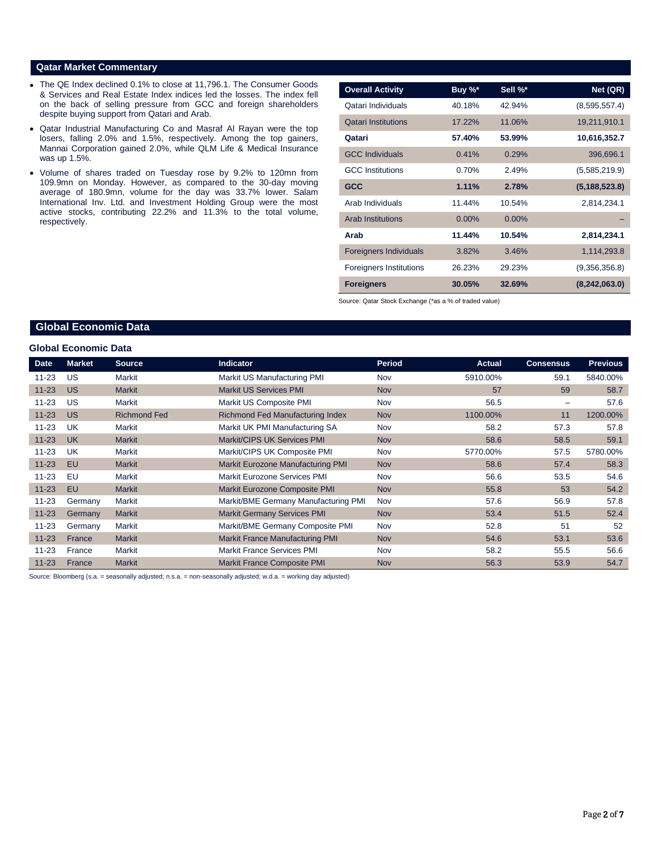### **Qatar Market Commentary**

- The QE Index declined 0.1% to close at 11,796.1. The Consumer Goods & Services and Real Estate Index indices led the losses. The index fell on the back of selling pressure from GCC and foreign shareholders despite buying support from Qatari and Arab.
- Qatar Industrial Manufacturing Co and Masraf Al Rayan were the top losers, falling 2.0% and 1.5%, respectively. Among the top gainers, Mannai Corporation gained 2.0%, while QLM Life & Medical Insurance was up 1.5%.
- Volume of shares traded on Tuesday rose by 9.2% to 120mn from 109.9mn on Monday. However, as compared to the 30-day moving average of 180.9mn, volume for the day was 33.7% lower. Salam International Inv. Ltd. and Investment Holding Group were the most active stocks, contributing 22.2% and 11.3% to the total volume, respectively.

| <b>Overall Activity</b>        | Buy %*   | Sell %*  | Net (QR)        |
|--------------------------------|----------|----------|-----------------|
| Qatari Individuals             | 40.18%   | 42.94%   | (8,595,557.4)   |
| <b>Qatari Institutions</b>     | 17.22%   | 11.06%   | 19,211,910.1    |
| Qatari                         | 57.40%   | 53.99%   | 10,616,352.7    |
| <b>GCC Individuals</b>         | 0.41%    | 0.29%    | 396,696.1       |
| <b>GCC</b> Institutions        | 0.70%    | 2.49%    | (5,585,219.9)   |
| <b>GCC</b>                     | 1.11%    | 2.78%    | (5, 188, 523.8) |
| Arab Individuals               | 11.44%   | 10.54%   | 2,814,234.1     |
| <b>Arab Institutions</b>       | $0.00\%$ | $0.00\%$ |                 |
| Arab                           | 11.44%   | 10.54%   | 2,814,234.1     |
| <b>Foreigners Individuals</b>  | 3.82%    | 3.46%    | 1,114,293.8     |
| <b>Foreigners Institutions</b> | 26.23%   | 29.23%   | (9,356,356.8)   |
| <b>Foreigners</b>              | 30.05%   | 32.69%   | (8, 242, 063.0) |

Source: Qatar Stock Exchange (\*as a % of traded value)

# **Global Economic Data**

#### **Global Economic Data**

| <b>Date</b> | <b>Market</b> | <b>Source</b>       | Indicator                              | <b>Period</b> | <b>Actual</b> | <b>Consensus</b>         | <b>Previous</b> |
|-------------|---------------|---------------------|----------------------------------------|---------------|---------------|--------------------------|-----------------|
| $11 - 23$   | US            | Markit              | Markit US Manufacturing PMI            | Nov           | 5910.00%      | 59.1                     | 5840.00%        |
| $11 - 23$   | <b>US</b>     | <b>Markit</b>       | <b>Markit US Services PMI</b>          | <b>Nov</b>    | 57            | 59                       | 58.7            |
| $11 - 23$   | <b>US</b>     | Markit              | Markit US Composite PMI                | Nov           | 56.5          | $\overline{\phantom{0}}$ | 57.6            |
| $11 - 23$   | <b>US</b>     | <b>Richmond Fed</b> | Richmond Fed Manufacturing Index       | <b>Nov</b>    | 1100.00%      | 11                       | 1200.00%        |
| $11 - 23$   | UK            | Markit              | Markit UK PMI Manufacturing SA         | Nov           | 58.2          | 57.3                     | 57.8            |
| $11 - 23$   | <b>UK</b>     | <b>Markit</b>       | Markit/CIPS UK Services PMI            | <b>Nov</b>    | 58.6          | 58.5                     | 59.1            |
| $11 - 23$   | UK            | Markit              | Markit/CIPS UK Composite PMI           | Nov           | 5770.00%      | 57.5                     | 5780.00%        |
| $11 - 23$   | EU            | <b>Markit</b>       | Markit Eurozone Manufacturing PMI      | <b>Nov</b>    | 58.6          | 57.4                     | 58.3            |
| $11 - 23$   | EU            | Markit              | Markit Eurozone Services PMI           | Nov           | 56.6          | 53.5                     | 54.6            |
| $11 - 23$   | EU            | <b>Markit</b>       | Markit Eurozone Composite PMI          | <b>Nov</b>    | 55.8          | 53                       | 54.2            |
| $11 - 23$   | Germany       | Markit              | Markit/BME Germany Manufacturing PMI   | Nov           | 57.6          | 56.9                     | 57.8            |
| $11 - 23$   | Germany       | <b>Markit</b>       | <b>Markit Germany Services PMI</b>     | Nov           | 53.4          | 51.5                     | 52.4            |
| $11 - 23$   | Germany       | Markit              | Markit/BME Germany Composite PMI       | Nov           | 52.8          | 51                       | 52              |
| $11 - 23$   | France        | <b>Markit</b>       | <b>Markit France Manufacturing PMI</b> | <b>Nov</b>    | 54.6          | 53.1                     | 53.6            |
| $11 - 23$   | France        | Markit              | <b>Markit France Services PMI</b>      | Nov           | 58.2          | 55.5                     | 56.6            |
| $11 - 23$   | France        | <b>Markit</b>       | <b>Markit France Composite PMI</b>     | <b>Nov</b>    | 56.3          | 53.9                     | 54.7            |

Source: Bloomberg (s.a. = seasonally adjusted; n.s.a. = non-seasonally adjusted; w.d.a. = working day adjusted)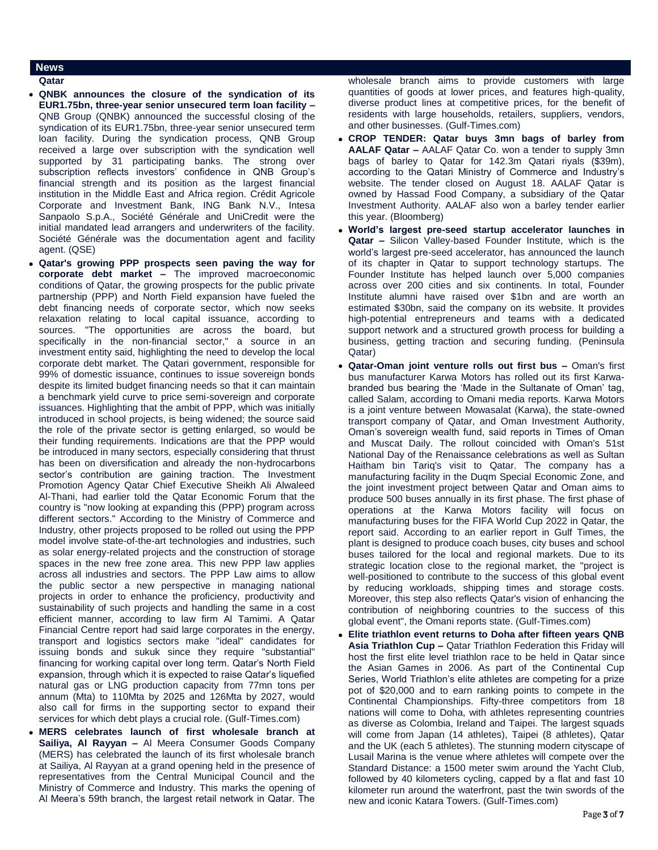#### **News**

#### **Qatar**

- **QNBK announces the closure of the syndication of its EUR1.75bn, three-year senior unsecured term loan facility –** QNB Group (QNBK) announced the successful closing of the syndication of its EUR1.75bn, three-year senior unsecured term loan facility. During the syndication process, QNB Group received a large over subscription with the syndication well supported by 31 participating banks. The strong over subscription reflects investors' confidence in QNB Group's financial strength and its position as the largest financial institution in the Middle East and Africa region. Crédit Agricole Corporate and Investment Bank, ING Bank N.V., Intesa Sanpaolo S.p.A., Société Générale and UniCredit were the initial mandated lead arrangers and underwriters of the facility. Société Générale was the documentation agent and facility agent. (QSE)
- **Qatar's growing PPP prospects seen paving the way for corporate debt market –** The improved macroeconomic conditions of Qatar, the growing prospects for the public private partnership (PPP) and North Field expansion have fueled the debt financing needs of corporate sector, which now seeks relaxation relating to local capital issuance, according to sources. "The opportunities are across the board, but specifically in the non-financial sector," a source in an investment entity said, highlighting the need to develop the local corporate debt market. The Qatari government, responsible for 99% of domestic issuance, continues to issue sovereign bonds despite its limited budget financing needs so that it can maintain a benchmark yield curve to price semi-sovereign and corporate issuances. Highlighting that the ambit of PPP, which was initially introduced in school projects, is being widened; the source said the role of the private sector is getting enlarged, so would be their funding requirements. Indications are that the PPP would be introduced in many sectors, especially considering that thrust has been on diversification and already the non-hydrocarbons sector's contribution are gaining traction. The Investment Promotion Agency Qatar Chief Executive Sheikh Ali Alwaleed Al-Thani, had earlier told the Qatar Economic Forum that the country is "now looking at expanding this (PPP) program across different sectors." According to the Ministry of Commerce and Industry, other projects proposed to be rolled out using the PPP model involve state-of-the-art technologies and industries, such as solar energy-related projects and the construction of storage spaces in the new free zone area. This new PPP law applies across all industries and sectors. The PPP Law aims to allow the public sector a new perspective in managing national projects in order to enhance the proficiency, productivity and sustainability of such projects and handling the same in a cost efficient manner, according to law firm Al Tamimi. A Qatar Financial Centre report had said large corporates in the energy, transport and logistics sectors make "ideal" candidates for issuing bonds and sukuk since they require "substantial" financing for working capital over long term. Qatar's North Field expansion, through which it is expected to raise Qatar's liquefied natural gas or LNG production capacity from 77mn tons per annum (Mta) to 110Mta by 2025 and 126Mta by 2027, would also call for firms in the supporting sector to expand their services for which debt plays a crucial role. (Gulf-Times.com)
- **MERS celebrates launch of first wholesale branch at Sailiya, Al Rayyan –** Al Meera Consumer Goods Company (MERS) has celebrated the launch of its first wholesale branch at Sailiya, Al Rayyan at a grand opening held in the presence of representatives from the Central Municipal Council and the Ministry of Commerce and Industry. This marks the opening of Al Meera's 59th branch, the largest retail network in Qatar. The

wholesale branch aims to provide customers with large quantities of goods at lower prices, and features high-quality, diverse product lines at competitive prices, for the benefit of residents with large households, retailers, suppliers, vendors, and other businesses. (Gulf-Times.com)

- **CROP TENDER: Qatar buys 3mn bags of barley from AALAF Qatar –** AALAF Qatar Co. won a tender to supply 3mn bags of barley to Qatar for 142.3m Qatari riyals (\$39m), according to the Qatari Ministry of Commerce and Industry's website. The tender closed on August 18. AALAF Qatar is owned by Hassad Food Company, a subsidiary of the Qatar Investment Authority. AALAF also won a barley tender earlier this year. (Bloomberg)
- **World's largest pre-seed startup accelerator launches in Qatar –** Silicon Valley-based Founder Institute, which is the world's largest pre-seed accelerator, has announced the launch of its chapter in Qatar to support technology startups. The Founder Institute has helped launch over 5,000 companies across over 200 cities and six continents. In total, Founder Institute alumni have raised over \$1bn and are worth an estimated \$30bn, said the company on its website. It provides high-potential entrepreneurs and teams with a dedicated support network and a structured growth process for building a business, getting traction and securing funding. (Peninsula Qatar)
- **Qatar-Oman joint venture rolls out first bus –** Oman's first bus manufacturer Karwa Motors has rolled out its first Karwabranded bus bearing the 'Made in the Sultanate of Oman' tag, called Salam, according to Omani media reports. Karwa Motors is a joint venture between Mowasalat (Karwa), the state-owned transport company of Qatar, and Oman Investment Authority, Oman's sovereign wealth fund, said reports in Times of Oman and Muscat Daily. The rollout coincided with Oman's 51st National Day of the Renaissance celebrations as well as Sultan Haitham bin Tariq's visit to Qatar. The company has a manufacturing facility in the Duqm Special Economic Zone, and the joint investment project between Qatar and Oman aims to produce 500 buses annually in its first phase. The first phase of operations at the Karwa Motors facility will focus on manufacturing buses for the FIFA World Cup 2022 in Qatar, the report said. According to an earlier report in Gulf Times, the plant is designed to produce coach buses, city buses and school buses tailored for the local and regional markets. Due to its strategic location close to the regional market, the "project is well-positioned to contribute to the success of this global event by reducing workloads, shipping times and storage costs. Moreover, this step also reflects Qatar's vision of enhancing the contribution of neighboring countries to the success of this global event", the Omani reports state. (Gulf-Times.com)
- **Elite triathlon event returns to Doha after fifteen years QNB Asia Triathlon Cup –** Qatar Triathlon Federation this Friday will host the first elite level triathlon race to be held in Qatar since the Asian Games in 2006. As part of the Continental Cup Series, World Triathlon's elite athletes are competing for a prize pot of \$20,000 and to earn ranking points to compete in the Continental Championships. Fifty-three competitors from 18 nations will come to Doha, with athletes representing countries as diverse as Colombia, Ireland and Taipei. The largest squads will come from Japan (14 athletes), Taipei (8 athletes), Qatar and the UK (each 5 athletes). The stunning modern cityscape of Lusail Marina is the venue where athletes will compete over the Standard Distance: a 1500 meter swim around the Yacht Club, followed by 40 kilometers cycling, capped by a flat and fast 10 kilometer run around the waterfront, past the twin swords of the new and iconic Katara Towers. (Gulf-Times.com)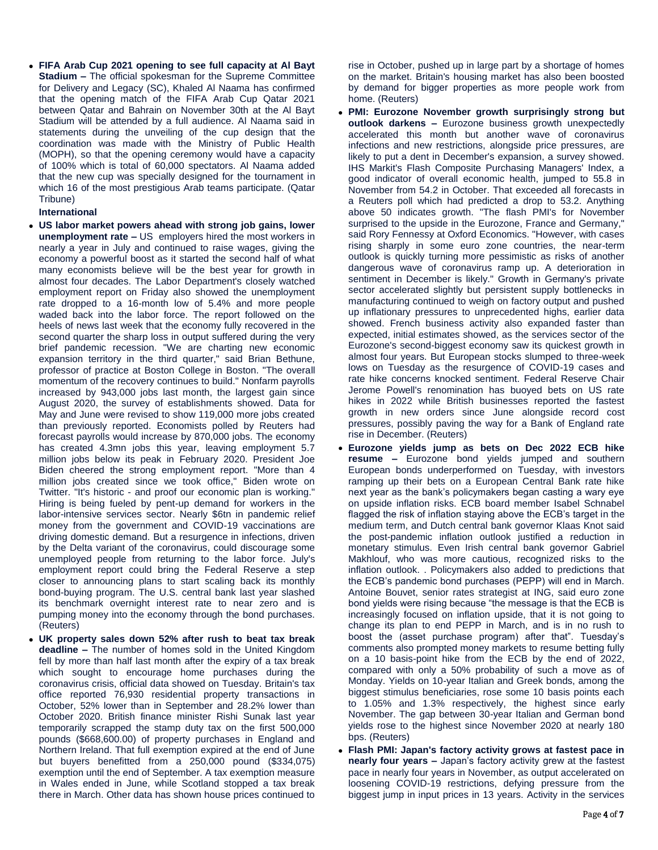**FIFA Arab Cup 2021 opening to see full capacity at Al Bayt Stadium –** The official spokesman for the Supreme Committee for Delivery and Legacy (SC), Khaled Al Naama has confirmed that the opening match of the FIFA Arab Cup Qatar 2021 between Qatar and Bahrain on November 30th at the Al Bayt Stadium will be attended by a full audience. Al Naama said in statements during the unveiling of the cup design that the coordination was made with the Ministry of Public Health (MOPH), so that the opening ceremony would have a capacity of 100% which is total of 60,000 spectators. Al Naama added that the new cup was specially designed for the tournament in which 16 of the most prestigious Arab teams participate. (Qatar Tribune)

#### **International**

- **US labor market powers ahead with strong job gains, lower unemployment rate –** US employers hired the most workers in nearly a year in July and continued to raise wages, giving the economy a powerful boost as it started the second half of what many economists believe will be the best year for growth in almost four decades. The Labor Department's closely watched employment report on Friday also showed the unemployment rate dropped to a 16-month low of 5.4% and more people waded back into the labor force. The report followed on the heels of news last week that the economy fully recovered in the second quarter the sharp loss in output suffered during the very brief pandemic recession. "We are charting new economic expansion territory in the third quarter," said Brian Bethune, professor of practice at Boston College in Boston. "The overall momentum of the recovery continues to build." Nonfarm payrolls increased by 943,000 jobs last month, the largest gain since August 2020, the survey of establishments showed. Data for May and June were revised to show 119,000 more jobs created than previously reported. Economists polled by Reuters had forecast payrolls would increase by 870,000 jobs. The economy has created 4.3mn jobs this year, leaving employment 5.7 million jobs below its peak in February 2020. President Joe Biden cheered the strong employment report. "More than 4 million jobs created since we took office," Biden wrote on Twitter. "It's historic - and proof our economic plan is working." Hiring is being fueled by pent-up demand for workers in the labor-intensive services sector. Nearly \$6tn in pandemic relief money from the government and COVID-19 vaccinations are driving domestic demand. But a resurgence in infections, driven by the Delta variant of the coronavirus, could discourage some unemployed people from returning to the labor force. July's employment report could bring the Federal Reserve a step closer to announcing plans to start scaling back its monthly bond-buying program. The U.S. central bank last year slashed its benchmark overnight interest rate to near zero and is pumping money into the economy through the bond purchases. (Reuters)
- **UK property sales down 52% after rush to beat tax break deadline –** The number of homes sold in the United Kingdom fell by more than half last month after the expiry of a tax break which sought to encourage home purchases during the coronavirus crisis, official data showed on Tuesday. Britain's tax office reported 76,930 residential property transactions in October, 52% lower than in September and 28.2% lower than October 2020. British finance minister Rishi Sunak last year temporarily scrapped the stamp duty tax on the first 500,000 pounds (\$668,600.00) of property purchases in England and Northern Ireland. That full exemption expired at the end of June but buyers benefitted from a 250,000 pound (\$334,075) exemption until the end of September. A tax exemption measure in Wales ended in June, while Scotland stopped a tax break there in March. Other data has shown house prices continued to

rise in October, pushed up in large part by a shortage of homes on the market. Britain's housing market has also been boosted by demand for bigger properties as more people work from home. (Reuters)

- **PMI: Eurozone November growth surprisingly strong but outlook darkens –** Eurozone business growth unexpectedly accelerated this month but another wave of coronavirus infections and new restrictions, alongside price pressures, are likely to put a dent in December's expansion, a survey showed. IHS Markit's Flash Composite Purchasing Managers' Index, a good indicator of overall economic health, jumped to 55.8 in November from 54.2 in October. That exceeded all forecasts in a Reuters poll which had predicted a drop to 53.2. Anything above 50 indicates growth. "The flash PMI's for November surprised to the upside in the Eurozone, France and Germany," said Rory Fennessy at Oxford Economics. "However, with cases rising sharply in some euro zone countries, the near-term outlook is quickly turning more pessimistic as risks of another dangerous wave of coronavirus ramp up. A deterioration in sentiment in December is likely." Growth in Germany's private sector accelerated slightly but persistent supply bottlenecks in manufacturing continued to weigh on factory output and pushed up inflationary pressures to unprecedented highs, earlier data showed. French business activity also expanded faster than expected, initial estimates showed, as the services sector of the Eurozone's second-biggest economy saw its quickest growth in almost four years. But European stocks slumped to three-week lows on Tuesday as the resurgence of COVID-19 cases and rate hike concerns knocked sentiment. Federal Reserve Chair Jerome Powell's renomination has buoyed bets on US rate hikes in 2022 while British businesses reported the fastest growth in new orders since June alongside record cost pressures, possibly paving the way for a Bank of England rate rise in December. (Reuters)
- **Eurozone yields jump as bets on Dec 2022 ECB hike resume –** Eurozone bond yields jumped and southern European bonds underperformed on Tuesday, with investors ramping up their bets on a European Central Bank rate hike next year as the bank's policymakers began casting a wary eye on upside inflation risks. ECB board member Isabel Schnabel flagged the risk of inflation staying above the ECB's target in the medium term, and Dutch central bank governor Klaas Knot said the post-pandemic inflation outlook justified a reduction in monetary stimulus. Even Irish central bank governor Gabriel Makhlouf, who was more cautious, recognized risks to the inflation outlook. . Policymakers also added to predictions that the ECB's pandemic bond purchases (PEPP) will end in March. Antoine Bouvet, senior rates strategist at ING, said euro zone bond yields were rising because "the message is that the ECB is increasingly focused on inflation upside, that it is not going to change its plan to end PEPP in March, and is in no rush to boost the (asset purchase program) after that". Tuesday's comments also prompted money markets to resume betting fully on a 10 basis-point hike from the ECB by the end of 2022, compared with only a 50% probability of such a move as of Monday. Yields on 10-year Italian and Greek bonds, among the biggest stimulus beneficiaries, rose some 10 basis points each to 1.05% and 1.3% respectively, the highest since early November. The gap between 30-year Italian and German bond yields rose to the highest since November 2020 at nearly 180 bps. (Reuters)
- **Flash PMI: Japan's factory activity grows at fastest pace in nearly four years –** Japan's factory activity grew at the fastest pace in nearly four years in November, as output accelerated on loosening COVID-19 restrictions, defying pressure from the biggest jump in input prices in 13 years. Activity in the services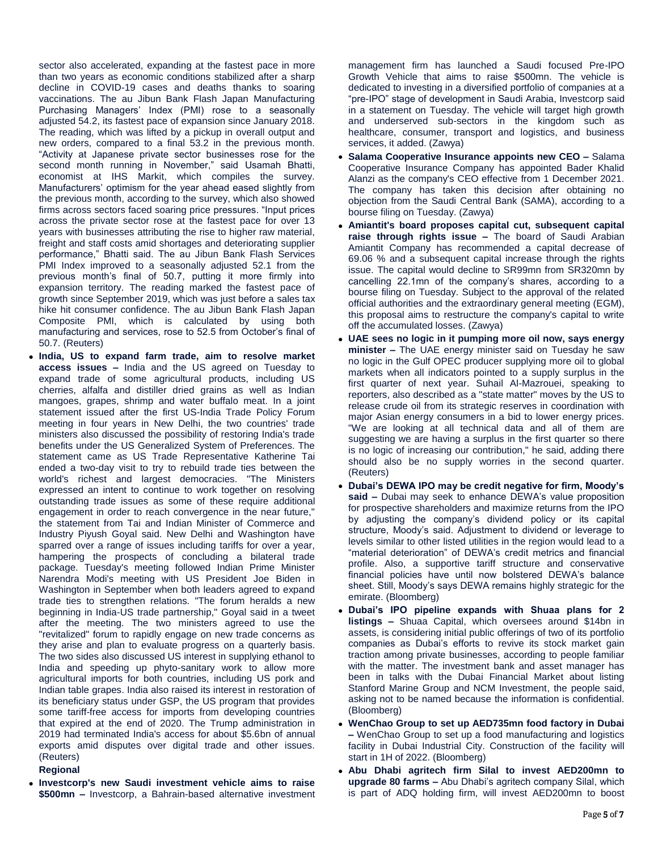sector also accelerated, expanding at the fastest pace in more than two years as economic conditions stabilized after a sharp decline in COVID-19 cases and deaths thanks to soaring vaccinations. The au Jibun Bank Flash Japan Manufacturing Purchasing Managers' Index (PMI) rose to a seasonally adjusted 54.2, its fastest pace of expansion since January 2018. The reading, which was lifted by a pickup in overall output and new orders, compared to a final 53.2 in the previous month. "Activity at Japanese private sector businesses rose for the second month running in November," said Usamah Bhatti, economist at IHS Markit, which compiles the survey. Manufacturers' optimism for the year ahead eased slightly from the previous month, according to the survey, which also showed firms across sectors faced soaring price pressures. "Input prices across the private sector rose at the fastest pace for over 13 years with businesses attributing the rise to higher raw material, freight and staff costs amid shortages and deteriorating supplier performance," Bhatti said. The au Jibun Bank Flash Services PMI Index improved to a seasonally adjusted 52.1 from the previous month's final of 50.7, putting it more firmly into expansion territory. The reading marked the fastest pace of growth since September 2019, which was just before a sales tax hike hit consumer confidence. The au Jibun Bank Flash Japan Composite PMI, which is calculated by using both manufacturing and services, rose to 52.5 from October's final of 50.7. (Reuters)

 **India, US to expand farm trade, aim to resolve market access issues –** India and the US agreed on Tuesday to expand trade of some agricultural products, including US cherries, alfalfa and distiller dried grains as well as Indian mangoes, grapes, shrimp and water buffalo meat. In a joint statement issued after the first US-India Trade Policy Forum meeting in four years in New Delhi, the two countries' trade ministers also discussed the possibility of restoring India's trade benefits under the US Generalized System of Preferences. The statement came as US Trade Representative Katherine Tai ended a two-day visit to try to rebuild trade ties between the world's richest and largest democracies. "The Ministers expressed an intent to continue to work together on resolving outstanding trade issues as some of these require additional engagement in order to reach convergence in the near future," the statement from Tai and Indian Minister of Commerce and Industry Piyush Goyal said. New Delhi and Washington have sparred over a range of issues including tariffs for over a year, hampering the prospects of concluding a bilateral trade package. Tuesday's meeting followed Indian Prime Minister Narendra Modi's meeting with US President Joe Biden in Washington in September when both leaders agreed to expand trade ties to strengthen relations. "The forum heralds a new beginning in India-US trade partnership," Goyal said in a tweet after the meeting. The two ministers agreed to use the "revitalized" forum to rapidly engage on new trade concerns as they arise and plan to evaluate progress on a quarterly basis. The two sides also discussed US interest in supplying ethanol to India and speeding up phyto-sanitary work to allow more agricultural imports for both countries, including US pork and Indian table grapes. India also raised its interest in restoration of its beneficiary status under GSP, the US program that provides some tariff-free access for imports from developing countries that expired at the end of 2020. The Trump administration in 2019 had terminated India's access for about \$5.6bn of annual exports amid disputes over digital trade and other issues. (Reuters)

#### **Regional**

 **Investcorp's new Saudi investment vehicle aims to raise \$500mn –** Investcorp, a Bahrain-based alternative investment management firm has launched a Saudi focused Pre-IPO Growth Vehicle that aims to raise \$500mn. The vehicle is dedicated to investing in a diversified portfolio of companies at a "pre-IPO" stage of development in Saudi Arabia, Investcorp said in a statement on Tuesday. The vehicle will target high growth and underserved sub-sectors in the kingdom such as healthcare, consumer, transport and logistics, and business services, it added. (Zawya)

- **Salama Cooperative Insurance appoints new CEO –** Salama Cooperative Insurance Company has appointed Bader Khalid Alanzi as the company's CEO effective from 1 December 2021. The company has taken this decision after obtaining no objection from the Saudi Central Bank (SAMA), according to a bourse filing on Tuesday. (Zawya)
- **Amiantit's board proposes capital cut, subsequent capital raise through rights issue –** The board of Saudi Arabian Amiantit Company has recommended a capital decrease of 69.06 % and a subsequent capital increase through the rights issue. The capital would decline to SR99mn from SR320mn by cancelling 22.1mn of the company's shares, according to a bourse filing on Tuesday. Subject to the approval of the related official authorities and the extraordinary general meeting (EGM), this proposal aims to restructure the company's capital to write off the accumulated losses. (Zawya)
- **UAE sees no logic in it pumping more oil now, says energy minister –** The UAE energy minister said on Tuesday he saw no logic in the Gulf OPEC producer supplying more oil to global markets when all indicators pointed to a supply surplus in the first quarter of next year. Suhail Al-Mazrouei, speaking to reporters, also described as a "state matter" moves by the US to release crude oil from its strategic reserves in coordination with major Asian energy consumers in a bid to lower energy prices. "We are looking at all technical data and all of them are suggesting we are having a surplus in the first quarter so there is no logic of increasing our contribution," he said, adding there should also be no supply worries in the second quarter. (Reuters)
- **Dubai's DEWA IPO may be credit negative for firm, Moody's said –** Dubai may seek to enhance DEWA's value proposition for prospective shareholders and maximize returns from the IPO by adjusting the company's dividend policy or its capital structure, Moody's said. Adjustment to dividend or leverage to levels similar to other listed utilities in the region would lead to a "material deterioration" of DEWA's credit metrics and financial profile. Also, a supportive tariff structure and conservative financial policies have until now bolstered DEWA's balance sheet. Still, Moody's says DEWA remains highly strategic for the emirate. (Bloomberg)
- **Dubai's IPO pipeline expands with Shuaa plans for 2 listings –** Shuaa Capital, which oversees around \$14bn in assets, is considering initial public offerings of two of its portfolio companies as Dubai's efforts to revive its stock market gain traction among private businesses, according to people familiar with the matter. The investment bank and asset manager has been in talks with the Dubai Financial Market about listing Stanford Marine Group and NCM Investment, the people said, asking not to be named because the information is confidential. (Bloomberg)
- **WenChao Group to set up AED735mn food factory in Dubai –** WenChao Group to set up a food manufacturing and logistics facility in Dubai Industrial City. Construction of the facility will start in 1H of 2022. (Bloomberg)
- **Abu Dhabi agritech firm Silal to invest AED200mn to upgrade 80 farms –** Abu Dhabi's agritech company Silal, which is part of ADQ holding firm, will invest AED200mn to boost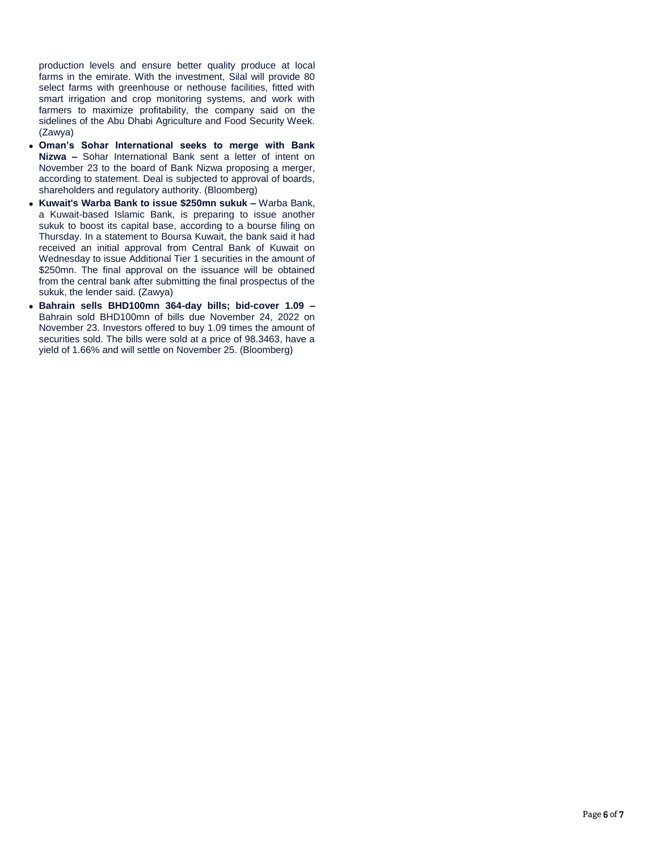production levels and ensure better quality produce at local farms in the emirate. With the investment, Silal will provide 80 select farms with greenhouse or nethouse facilities, fitted with smart irrigation and crop monitoring systems, and work with farmers to maximize profitability, the company said on the sidelines of the Abu Dhabi Agriculture and Food Security Week. (Zawya)

- **Oman's Sohar International seeks to merge with Bank Nizwa –** Sohar International Bank sent a letter of intent on November 23 to the board of Bank Nizwa proposing a merger, according to statement. Deal is subjected to approval of boards, shareholders and regulatory authority. (Bloomberg)
- **Kuwait's Warba Bank to issue \$250mn sukuk –** Warba Bank, a Kuwait-based Islamic Bank, is preparing to issue another sukuk to boost its capital base, according to a bourse filing on Thursday. In a statement to Boursa Kuwait, the bank said it had received an initial approval from Central Bank of Kuwait on Wednesday to issue Additional Tier 1 securities in the amount of \$250mn. The final approval on the issuance will be obtained from the central bank after submitting the final prospectus of the sukuk, the lender said. (Zawya)
- **Bahrain sells BHD100mn 364-day bills; bid-cover 1.09 –** Bahrain sold BHD100mn of bills due November 24, 2022 on November 23. Investors offered to buy 1.09 times the amount of securities sold. The bills were sold at a price of 98.3463, have a yield of 1.66% and will settle on November 25. (Bloomberg)